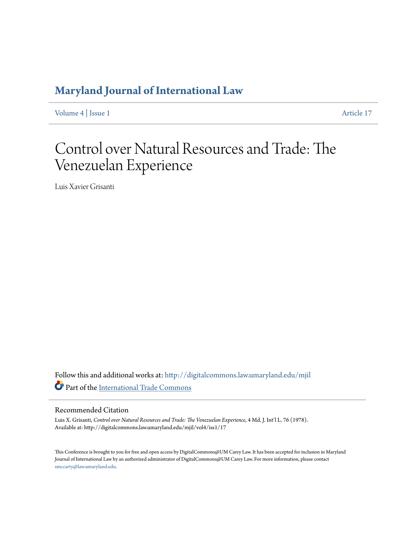# **[Maryland Journal of International Law](http://digitalcommons.law.umaryland.edu/mjil?utm_source=digitalcommons.law.umaryland.edu%2Fmjil%2Fvol4%2Fiss1%2F17&utm_medium=PDF&utm_campaign=PDFCoverPages)**

[Volume 4](http://digitalcommons.law.umaryland.edu/mjil/vol4?utm_source=digitalcommons.law.umaryland.edu%2Fmjil%2Fvol4%2Fiss1%2F17&utm_medium=PDF&utm_campaign=PDFCoverPages) | [Issue 1](http://digitalcommons.law.umaryland.edu/mjil/vol4/iss1?utm_source=digitalcommons.law.umaryland.edu%2Fmjil%2Fvol4%2Fiss1%2F17&utm_medium=PDF&utm_campaign=PDFCoverPages) [Article 17](http://digitalcommons.law.umaryland.edu/mjil/vol4/iss1/17?utm_source=digitalcommons.law.umaryland.edu%2Fmjil%2Fvol4%2Fiss1%2F17&utm_medium=PDF&utm_campaign=PDFCoverPages)

# Control over Natural Resources and Trade: The Venezuelan Experience

Luis Xavier Grisanti

Follow this and additional works at: [http://digitalcommons.law.umaryland.edu/mjil](http://digitalcommons.law.umaryland.edu/mjil?utm_source=digitalcommons.law.umaryland.edu%2Fmjil%2Fvol4%2Fiss1%2F17&utm_medium=PDF&utm_campaign=PDFCoverPages) Part of the [International Trade Commons](http://network.bepress.com/hgg/discipline/848?utm_source=digitalcommons.law.umaryland.edu%2Fmjil%2Fvol4%2Fiss1%2F17&utm_medium=PDF&utm_campaign=PDFCoverPages)

## Recommended Citation

Luis X. Grisanti, *Control over Natural Resources and Trade: The Venezuelan Experience*, 4 Md. J. Int'l L. 76 (1978). Available at: http://digitalcommons.law.umaryland.edu/mjil/vol4/iss1/17

This Conference is brought to you for free and open access by DigitalCommons@UM Carey Law. It has been accepted for inclusion in Maryland Journal of International Law by an authorized administrator of DigitalCommons@UM Carey Law. For more information, please contact [smccarty@law.umaryland.edu.](mailto:smccarty@law.umaryland.edu)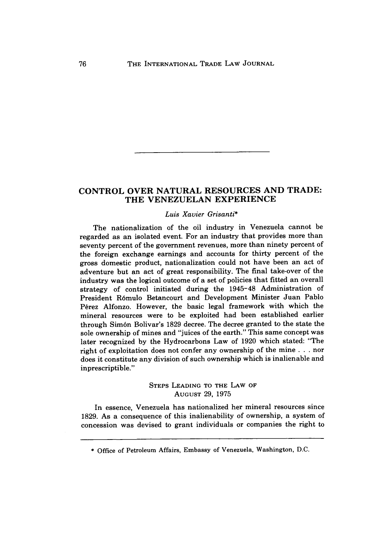## **CONTROL OVER NATURAL RESOURCES AND TRADE: THE VENEZUELAN EXPERIENCE**

#### *Luis Xavier Grisanti\**

The nationalization of the oil industry in Venezuela cannot be regarded as an isolated event. For an industry that provides more than seventy percent of the government revenues, more than ninety percent of the foreign exchange earnings and accounts for thirty percent of the gross domestic product, nationalization could not have been an act of adventure but an act of great responsibility. The final take-over of the industry was the logical outcome of a set of policies that fitted an overall strategy of control initiated during the 1945-48 Administration of President R6mulo Betancourt and Development Minister Juan Pablo Perez Alfonzo. However, the basic legal framework with which the mineral resources were to be exploited had been established earlier through Sim6n Bolivar's 1829 decree. The decree granted to the state the sole ownership of mines and "juices of the earth." This same concept was later recognized by the Hydrocarbons Law of 1920 which stated: "The right of exploitation does not confer any ownership of the mine . . . nor does it constitute any division of such ownership which is inalienable and inprescriptible."

> STEPS **LEADING** TO **THE** LAW **OF AUGUST 29, 1975**

In essence, Venezuela has nationalized her mineral resources since **1829.** As a consequence of this inalienability of ownership, a system of concession was devised to grant individuals or companies the right to

**<sup>\*</sup>** Office of Petroleum Affairs, Embassy of Venezuela, Washington, **D.C.**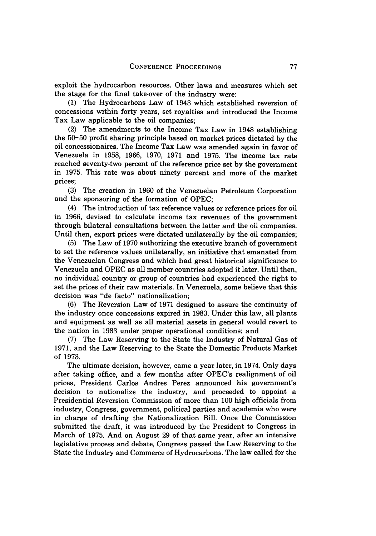exploit the hydrocarbon resources. Other laws and measures which set the stage for the final take-over of the industry were:

(1) The Hydrocarbons Law of 1943 which established reversion of concessions within forty years, set royalties and introduced the Income Tax Law applicable to the oil companies;

(2) The amendments to the Income Tax Law in 1948 establishing the 50-50 profit sharing principle based on market prices dictated by the oil concessionaires. The Income Tax Law was amended again in favor of Venezuela in 1958, 1966, 1970, 1971 and 1975. The income tax rate reached seventy-two percent of the reference price set by the government in 1975. This rate was about ninety percent and more of the market prices;

(3) The creation in 1960 of the Venezuelan Petroleum Corporation and the sponsoring of the formation of OPEC;

(4) The introduction of tax reference values or reference prices for oil in 1966, devised to calculate income tax revenues of the government through bilateral consultations between the latter and the oil companies. Until then, export prices were dictated unilaterally by the oil companies;

(5) The Law of 1970 authorizing the executive branch of government to set the reference values unilaterally, an initiative that emanated from the Venezuelan Congress and which had great historical significance to Venezuela and OPEC as all member countries adopted it later. Until then, no individual country or group of countries had experienced the right to set the prices of their raw materials. In Venezuela, some believe that this decision was "de facto" nationalization;

(6) The Reversion Law of 1971 designed to assure the continuity of the industry once concessions expired in 1983. Under this law, all plants and equipment as well as all material assets in general would revert to the nation in 1983 under proper operational conditions; and

(7) The Law Reserving to the State the Industry of Natural Gas of 1971, and the Law Reserving to the State the Domestic Products Market of 1973.

The ultimate decision, however, came a year later, in 1974. Only days after taking office, and a few months after OPEC's realignment of oil prices, President Carlos Andres Perez announced his government's decision to nationalize the industry, and proceeded to appoint a Presidential Reversion Commission of more than 100 high officials from industry, Congress, government, political parties and academia who were in charge of drafting the Nationalization Bill. Once the Commission submitted the draft, it was introduced by the President to Congress in March of 1975. And on August 29 of that same year, after an intensive legislative process and debate, Congress passed the Law Reserving to the State the Industry and Commerce of Hydrocarbons. The law called for the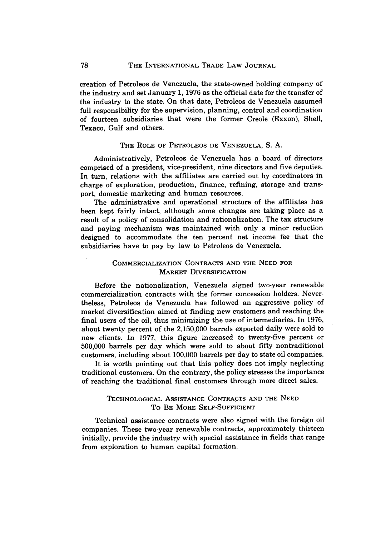creation of Petroleos de Venezuela, the state-owned holding company of the industry and set January 1, 1976 as the official date for the transfer of the industry to the state. On that date, Petroleos de Venezuela assumed full responsibility for the supervision, planning, control and coordination of fourteen subsidiaries that were the former Creole (Exxon), Shell, Texaco, Gulf and others.

#### THE ROLE OF PETROLEOS **DE VENEZUELA,** S. A.

Administratively, Petroleos de Venezuela has a board of directors comprised of a president, vice-president, nine directors and five deputies. In turn, relations with the affiliates are carried out by coordinators in charge of exploration, production, finance, refining, storage and transport, domestic marketing and human resources.

The administrative and operational structure of the affiliates has been kept fairly intact, although some changes are taking place as a result of a policy of consolidation and rationalization. The tax structure and paying mechanism was maintained with only a minor reduction designed to accommodate the ten percent net income fee that the subsidiaries have to pay by law to Petroleos de Venezuela.

#### COMMERCIALIZATION **CONTRACTS AND THE NEED FOR MARKET DIVERSIFICATION**

Before the nationalization, Venezuela signed two-year renewable commercialization contracts with the former concession holders. Nevertheless, Petroleos de Venezuela has followed an aggressive policy of market diversification aimed at finding new customers and reaching the final users of the oil, thus minimizing the use of intermediaries. In **1976,** about twenty percent of the **2,150,000** barrels exported daily were sold to new clients. In **1977,** this figure increased to twenty-five percent or **500,000** barrels per day which were sold to about fifty nontraditional customers, including about **100,000** barrels per day to state oil companies.

It is worth pointing out that this policy does not imply neglecting traditional customers. On the contrary, the policy stresses the importance of reaching the traditional final customers through more direct sales.

#### **TECHNOLOGICAL** ASSISTANCE **CONTRACTS AND THE NEED** To **BE MORE SELF-SUFFICIENT**

**Technical assistance contracts were also signed** with the foreign oil companies. These two-year renewable contracts, approximately thirteen initially, provide the industry with special assistance in fields that range from exploration to human capital formation.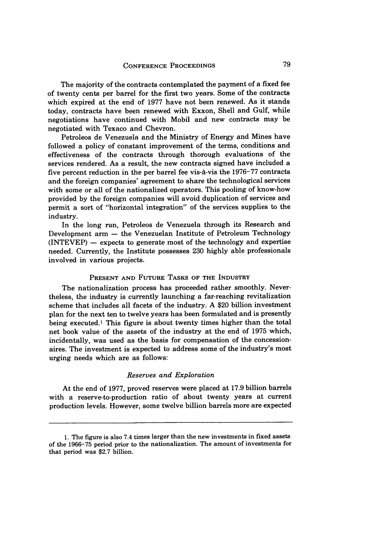The majority of the contracts contemplated the payment of a fixed fee of twenty cents per barrel for the first two years. Some of the contracts which expired at the end of **1977** have not been renewed. As it stands today, contracts have been renewed with Exxon, Shell and Gulf, while negotiations have continued with Mobil and new contracts may be negotiated with Texaco and Chevron.

Petroleos de Venezuela and the Ministry of Energy and Mines have followed a policy of constant improvement of the terms, conditions and effectiveness of the contracts through thorough evaluations of the services rendered. As a result, the new contracts signed have included a five percent reduction in the per barrel fee vis-A-vis the **1976-77** contracts and the foreign companies' agreement to share the technological services with some or all of the nationalized operators. This pooling of know-how provided **by** the foreign companies will avoid duplication of services and permit a sort of "horizontal integration" of the services supplies to the industry.

In the long run, Petroleos de Venezuela through its Research and Development arm **-** the Venezuelan Institute of Petroleum Technology (INTEVEP) **-** expects to generate most of the technology and expertise needed. Currently, the Institute possesses 230 highly able professionals involved in various projects.

#### PRESENT AND FUTURE TASKS OF THE INDUSTRY

The nationalization process has proceeded rather smoothly. Nevertheless, the industry is currently launching a far-reaching revitalization scheme that includes all facets of the industry. A \$20 billion investment plan for the next ten to twelve years has been formulated and is presently being executed.' This figure is about twenty times higher than the total net book value of the assets of the industry at the end of 1975 which, incidentally, was used as the basis for compensation of the concessionaires. The investment is expected to address some of the industry's most urging needs which are as follows:

#### *Reserves and Exploration*

At the end of 1977, proved reserves were placed at 17.9 billion barrels with a reserve-to-production ratio of about twenty years at current production levels. However, some twelve billion barrels more are expected

<sup>1.</sup> The figure is also 7.4 times larger than the new investments in fixed assets of the 1966-75 period prior to the nationalization. The amount of investments for that period was \$2.7 billion.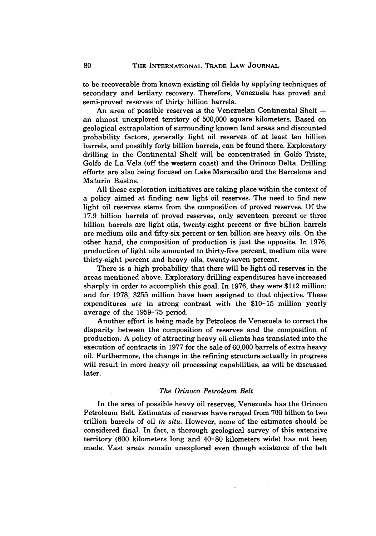to be recoverable from known existing oil fields by applying techniques of secondary and tertiary recovery. Therefore, Venezuela has proved and semi-proved reserves of thirty billion barrels.

An area of possible reserves is the Venezuelan Continental Shelf  an almost unexplored territory of 500,000 square kilometers. Based on geological extrapolation of surrounding known land areas and discounted probability factors, generally light oil reserves of at least ten billion barrels, and possibly forty billion barrels, can be found there. Exploratory drilling in the Continental Shelf will be concentrated in Golfo Triste, Golfo de La Vela (off the western coast) and the Orinoco Delta. Drilling efforts are also being focused on Lake Maracaibo and the Barcelona and Maturin Basins.

All these exploration initiatives are taking place within the context of a policy aimed at finding new light oil reserves. The need to find new light oil reserves stems from the composition of proved reserves. Of the 17.9 billion barrels of proved reserves, only seventeen percent or three billion barrels are light oils, twenty-eight percent or five billion barrels are medium oils and fifty-six percent or ten billion are heavy oils. On the other hand, the composition of production is just the opposite. In 1976, production of light oils amounted to thirty-five percent, medium oils were thirty-eight percent and heavy oils, twenty-seven percent.

There is a high probability that there will be light oil reserves in the areas mentioned above. Exploratory drilling expenditures have increased sharply in order to accomplish this goal. In 1976, they were \$112 million; and for 1978, \$255 million have been assigned to that objective. These expenditures are in strong contrast with the \$10-15 million yearly average of the 1959-75 period.

Another effort is being made by Petroleos de Venezuela to correct the disparity between the composition of reserves and the composition of production. A policy of attracting heavy oil clients has translated into the execution of contracts in 1977 for the sale of 60,000 barrels of extra heavy oil. Furthermore, the change in the refining structure actually in progress will result in more heayy oil processing capabilities, as will be discussed later.

#### *The Orinoco Petroleum Belt*

In the area of possible heavy oil reserves, Venezuela has the Orinoco Petroleum Belt. Estimates of reserves have ranged from 700 billion to two trillion barrels of oil *in situ.* However, none of the estimates should be considered final. In fact, a thorough geological survey of this extensive territory (600 kilometers long and 40-80 kilometers wide) has not been made. Vast areas remain unexplored even though existence of the belt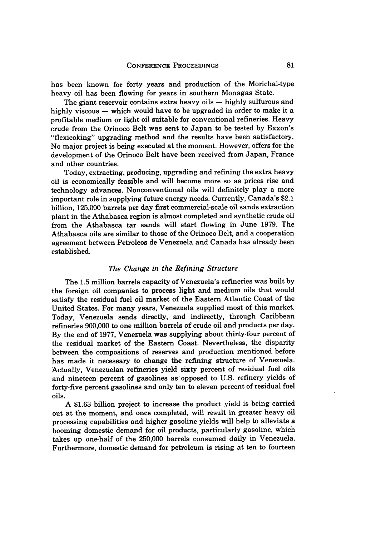has been known for forty years and production of the Morichal-type heavy oil has been flowing for years in southern Monagas State.

The giant reservoir contains extra heavy oils **-** highly sulfurous and highly viscous **-** which would have to be upgraded in order to make it a profitable medium or light oil suitable for conventional refineries. Heavy crude from the Orinoco Belt was sent to Japan to be tested by Exxon's "flexicoking" upgrading method and the results have been satisfactory. No major project is being executed at the moment. However, offers for the development of the Orinoco Belt have been received from Japan, France and other countries.

Today, extracting, producing, upgrading and refining the extra heavy oil is economically feasible and will become more so as prices rise and technology advances. Nonconventional oils will definitely play a more important role in supplying future energy needs. Currently, Canada's \$2.1 billion, 125,000 barrels per day first commercial-scale oil sands extraction plant in the Athabasca region is almost completed and synthetic crude oil from the Athabasca tar sands will start flowing in June 1979. The Athabasca oils are similar to those of the Orinoco Belt, and a cooperation agreement between Petroleos de Venezuela and Canada has already been established.

#### *The Change in the Refining Structure*

The 1.5 million barrels capacity of Venezuela's refineries was built by the foreign oil companies to process light and medium oils that would satisfy the residual fuel oil market of the Eastern Atlantic Coast of the United States. For many years, Venezuela supplied most of this market. Today, Venezuela sends directly, and indirectly, through Caribbean refineries 900,000 to one million barrels of crude oil and products per day. By the end of 1977, Venezuela was supplying about thirty-four percent of the residual market of the Eastern Coast. Nevertheless, the disparity between the compositions of reserves and production mentioned before has made it necessary to change the refining structure of Venezuela. Actually, Venezuelan refineries yield sixty percent of residual fuel oils and nineteen percent of gasolines as opposed to U.S. refinery yields of forty-five percent gasolines and only ten to eleven percent of residual fuel oils.

A \$1.63 billion project to increase the product yield is being carried out at the moment, and once completed, will result in greater heavy oil processing capabilities and higher gasoline yields will help to alleviate a booming domestic demand for oil products, particularly gasoline, which takes up one-half of the 250,000 barrels consumed daily in Venezuela. Furthermore, domestic demand for petroleum is rising at ten to fourteen